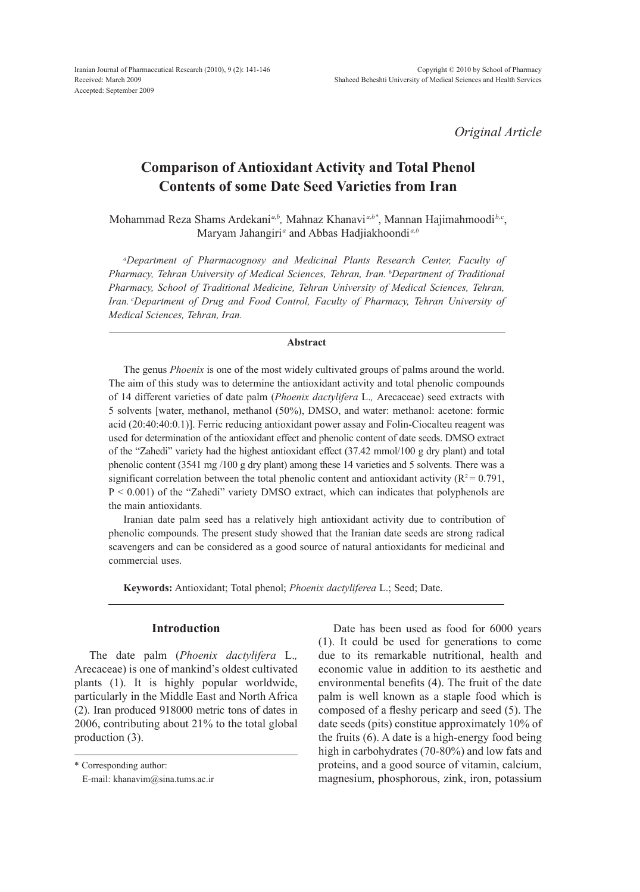*Original Article*

# **Comparison of Antioxidant Activity and Total Phenol Contents of some Date Seed Varieties from Iran**

Mohammad Reza Shams Ardekani*a,b,* Mahnaz Khanavi *a,b\**, Mannan Hajimahmoodi*b,c*, Maryam Jahangiri<sup>a</sup> and Abbas Hadjiakhoondi<sup>a,b</sup>

*a Department of Pharmacognosy and Medicinal Plants Research Center, Faculty of Pharmacy, Tehran University of Medical Sciences, Tehran, Iran. b Department of Traditional Pharmacy, School of Traditional Medicine, Tehran University of Medical Sciences, Tehran, Iran. c Department of Drug and Food Control, Faculty of Pharmacy, Tehran University of Medical Sciences, Tehran, Iran.*

# **Abstract**

The genus *Phoenix* is one of the most widely cultivated groups of palms around the world. The aim of this study was to determine the antioxidant activity and total phenolic compounds of 14 different varieties of date palm (*Phoenix dactylifera* L.*,* Arecaceae) seed extracts with 5 solvents [water, methanol, methanol (50%), DMSO, and water: methanol: acetone: formic acid (20:40:40:0.1)]. Ferric reducing antioxidant power assay and Folin-Ciocalteu reagent was used for determination of the antioxidant effect and phenolic content of date seeds. DMSO extract of the "Zahedi" variety had the highest antioxidant effect (37.42 mmol/100 g dry plant) and total phenolic content (3541 mg /100 g dry plant) among these 14 varieties and 5 solvents. There was a significant correlation between the total phenolic content and antioxidant activity ( $R^2 = 0.791$ , P < 0.001) of the "Zahedi" variety DMSO extract, which can indicates that polyphenols are the main antioxidants.

Iranian date palm seed has a relatively high antioxidant activity due to contribution of phenolic compounds. The present study showed that the Iranian date seeds are strong radical scavengers and can be considered as a good source of natural antioxidants for medicinal and commercial uses.

**Keywords:** Antioxidant; Total phenol; *Phoenix dactyliferea* L.; Seed; Date.

# **Introduction**

The date palm (*Phoenix dactylifera* L.*,*  Arecaceae) is one of mankind's oldest cultivated plants (1). It is highly popular worldwide, particularly in the Middle East and North Africa (2). Iran produced 918000 metric tons of dates in 2006, contributing about 21% to the total global production (3).

Date has been used as food for 6000 years (1). It could be used for generations to come due to its remarkable nutritional, health and economic value in addition to its aesthetic and environmental benefits (4). The fruit of the date palm is well known as a staple food which is composed of a fleshy pericarp and seed (5). The date seeds (pits) constitue approximately 10% of the fruits (6). A date is a high-energy food being high in carbohydrates (70-80%) and low fats and proteins, and a good source of vitamin, calcium, magnesium, phosphorous, zink, iron, potassium

<sup>\*</sup> Corresponding author:

E-mail: khanavim@sina.tums.ac.ir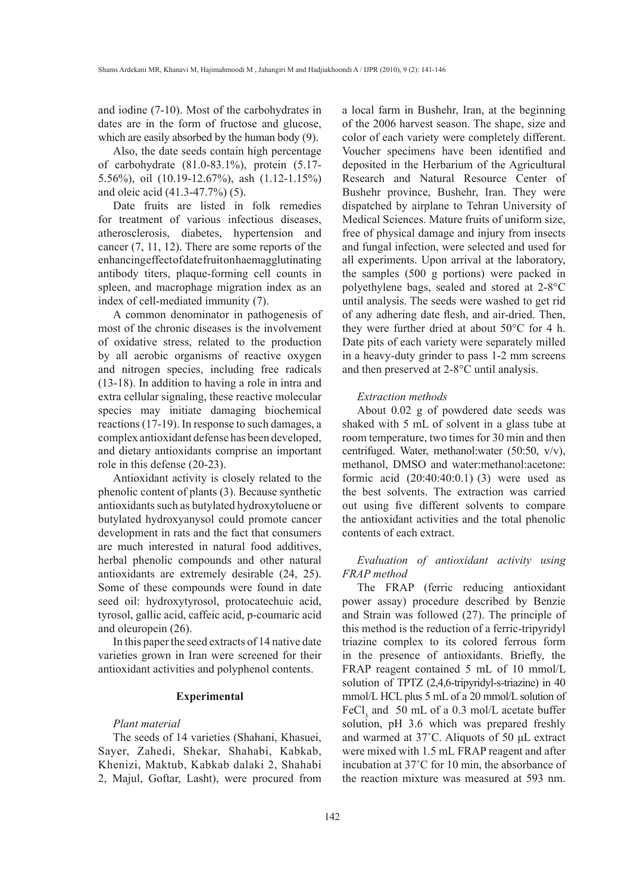and iodine (7-10). Most of the carbohydrates in dates are in the form of fructose and glucose, which are easily absorbed by the human body (9).

Also, the date seeds contain high percentage of carbohydrate (81.0-83.1%), protein (5.17- 5.56%), oil (10.19-12.67%), ash (1.12-1.15%) and oleic acid (41.3-47.7%) (5).

Date fruits are listed in folk remedies for treatment of various infectious diseases, atherosclerosis, diabetes, hypertension and cancer (7, 11, 12). There are some reports of the enhancing effect of date fruit on haemagglutinating antibody titers, plaque-forming cell counts in spleen, and macrophage migration index as an index of cell-mediated immunity (7).

A common denominator in pathogenesis of most of the chronic diseases is the involvement of oxidative stress, related to the production by all aerobic organisms of reactive oxygen and nitrogen species, including free radicals (13-18). In addition to having a role in intra and extra cellular signaling, these reactive molecular species may initiate damaging biochemical reactions (17-19). In response to such damages, a complex antioxidant defense has been developed, and dietary antioxidants comprise an important role in this defense (20-23).

Antioxidant activity is closely related to the phenolic content of plants (3). Because synthetic antioxidants such as butylated hydroxytoluene or butylated hydroxyanysol could promote cancer development in rats and the fact that consumers are much interested in natural food additives, herbal phenolic compounds and other natural antioxidants are extremely desirable (24, 25). Some of these compounds were found in date seed oil: hydroxytyrosol, protocatechuic acid, tyrosol, gallic acid, caffeic acid, p-coumaric acid and oleuropein (26).

In this paper the seed extracts of 14 native date varieties grown in Iran were screened for their antioxidant activities and polyphenol contents.

#### **Experimental**

## *Plant material*

The seeds of 14 varieties (Shahani, Khasuei, Sayer, Zahedi, Shekar, Shahabi, Kabkab, Khenizi, Maktub, Kabkab dalaki 2, Shahabi 2, Majul, Goftar, Lasht), were procured from a local farm in Bushehr, Iran, at the beginning of the 2006 harvest season. The shape, size and color of each variety were completely different. Voucher specimens have been identified and deposited in the Herbarium of the Agricultural Research and Natural Resource Center of Bushehr province, Bushehr, Iran. They were dispatched by airplane to Tehran University of Medical Sciences. Mature fruits of uniform size, free of physical damage and injury from insects and fungal infection, were selected and used for all experiments. Upon arrival at the laboratory, the samples (500 g portions) were packed in polyethylene bags, sealed and stored at 2-8°C until analysis. The seeds were washed to get rid of any adhering date flesh, and air-dried. Then, they were further dried at about 50°C for 4 h. Date pits of each variety were separately milled in a heavy-duty grinder to pass 1-2 mm screens and then preserved at 2-8°C until analysis.

#### *Extraction methods*

About 0.02 g of powdered date seeds was shaked with 5 mL of solvent in a glass tube at room temperature, two times for 30 min and then centrifuged. Water, methanol:water (50:50, v/v), methanol, DMSO and water:methanol:acetone: formic acid (20:40:40:0.1) (3) were used as the best solvents. The extraction was carried out using five different solvents to compare the antioxidant activities and the total phenolic contents of each extract.

# *Evaluation of antioxidant activity using FRAP method*

The FRAP (ferric reducing antioxidant power assay) procedure described by Benzie and Strain was followed (27). The principle of this method is the reduction of a ferric-tripyridyl triazine complex to its colored ferrous form in the presence of antioxidants. Briefly, the FRAP reagent contained 5 mL of 10 mmol/L solution of TPTZ (2,4,6-tripyridyl-s-triazine) in 40 mmol/L HCL plus 5 mL of a 20 mmol/L solution of FeCl<sub>3</sub> and 50 mL of a 0.3 mol/L acetate buffer solution, pH 3.6 which was prepared freshly and warmed at 37˚C. Aliquots of 50 μL extract were mixed with 1.5 mL FRAP reagent and after incubation at 37˚C for 10 min, the absorbance of the reaction mixture was measured at 593 nm.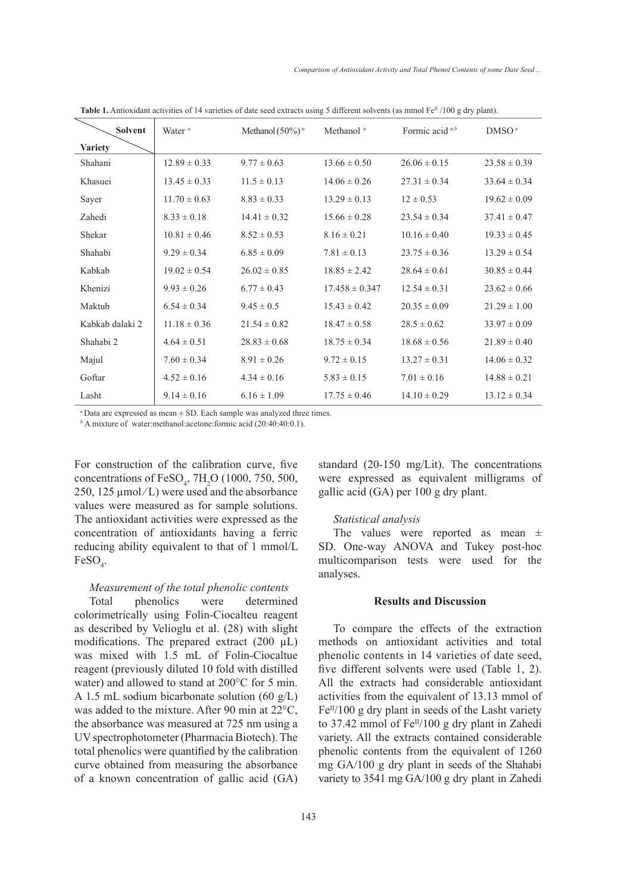| <b>Solvent</b>  | Water <sup>a</sup> | Methanol $(50\%)^a$ | Methanol <sup>a</sup> | Formic acid a,b  | DMSO <sup>a</sup> |
|-----------------|--------------------|---------------------|-----------------------|------------------|-------------------|
| <b>Variety</b>  |                    |                     |                       |                  |                   |
| Shahani         | $12.89 \pm 0.33$   | $9.77 \pm 0.63$     | $13.66 \pm 0.50$      | $26.06 \pm 0.15$ | $23.58 \pm 0.39$  |
| Khasuei         | $13.45 \pm 0.33$   | $11.5 \pm 0.13$     | $14.06 \pm 0.26$      | $27.31 \pm 0.34$ | $33.64 \pm 0.34$  |
| Sayer           | $11.70 \pm 0.63$   | $8.83 \pm 0.33$     | $13.29 \pm 0.13$      | $12 \pm 0.53$    | $19.62 \pm 0.09$  |
| Zahedi          | $8.33 \pm 0.18$    | $14.41 \pm 0.32$    | $15.66 \pm 0.28$      | $23.54 \pm 0.34$ | $37.41 \pm 0.47$  |
| Shekar          | $10.81 \pm 0.46$   | $8.52 \pm 0.53$     | $8.16 \pm 0.21$       | $10.16 \pm 0.40$ | $19.33 \pm 0.45$  |
| Shahabi         | $9.29 \pm 0.34$    | $6.85 \pm 0.09$     | $7.81 \pm 0.13$       | $23.75 \pm 0.36$ | $13.29 \pm 0.54$  |
| Kabkab          | $19.02 \pm 0.54$   | $26.02 \pm 0.85$    | $18.85 \pm 2.42$      | $28.64 \pm 0.61$ | $30.85 \pm 0.44$  |
| Khenizi         | $9.93 \pm 0.26$    | $6.77 \pm 0.43$     | $17.458 \pm 0.347$    | $12.54 \pm 0.31$ | $23.62 \pm 0.66$  |
| Maktub          | $6.54 \pm 0.34$    | $9.45 \pm 0.5$      | $15.43 \pm 0.42$      | $20.35 \pm 0.09$ | $21.29 \pm 1.00$  |
| Kabkab dalaki 2 | $11.18 \pm 0.36$   | $21.54 \pm 0.82$    | $18.47 \pm 0.58$      | $28.5 \pm 0.62$  | $33.97 \pm 0.09$  |
| Shahabi 2       | $4.64 \pm 0.51$    | $28.83 \pm 0.68$    | $18.75 \pm 0.34$      | $18.68 \pm 0.56$ | $21.89 \pm 0.40$  |
| Majul           | $7.60 \pm 0.34$    | $8.91 \pm 0.26$     | $9.72 \pm 0.15$       | $13.27 \pm 0.31$ | $14.06 \pm 0.32$  |
| Goftar          | $4.52 \pm 0.16$    | $4.34 \pm 0.16$     | $5.83 \pm 0.15$       | $7.01 \pm 0.16$  | $14.88 \pm 0.21$  |
| Lasht           | $9.14 \pm 0.16$    | $6.16 \pm 1.09$     | $17.75 \pm 0.46$      | $14.10 \pm 0.29$ | $13.12 \pm 0.34$  |

**Table 1.** Antioxidant activities of 14 varieties of date seed extracts using 5 different solvents (as mmol Fe<sup>II</sup> /100 g dry plant).

*<sup>a</sup>*Data are expressed as mean ± SD. Each sample was analyzed three times.

*b* A mixture of water:methanol:acetone:formic acid (20:40:40:0.1).

For construction of the calibration curve, five concentrations of  $FeSO_4$ , 7H<sub>2</sub>O (1000, 750, 500, 250, 125  $\mu$ mol/L) were used and the absorbance values were measured as for sample solutions. The antioxidant activities were expressed as the concentration of antioxidants having a ferric reducing ability equivalent to that of 1 mmol/L  $FeSO_4$ .

# *Measurement of the total phenolic contents*

Total phenolics were determined colorimetrically using Folin-Ciocalteu reagent as described by Velioglu et al. (28) with slight modifications. The prepared extract (200  $\mu$ L) was mixed with 1.5 mL of Folin-Ciocaltue reagent (previously diluted 10 fold with distilled water) and allowed to stand at 200°C for 5 min. A 1.5 mL sodium bicarbonate solution (60 g/L) was added to the mixture. After 90 min at 22°C, the absorbance was measured at 725 nm using a UV spectrophotometer (Pharmacia Biotech). The total phenolics were quantified by the calibration curve obtained from measuring the absorbance of a known concentration of gallic acid (GA) standard (20-150 mg/Lit). The concentrations were expressed as equivalent milligrams of gallic acid (GA) per 100 g dry plant.

#### *Statistical analysis*

The values were reported as mean  $\pm$ SD. One-way ANOVA and Tukey post-hoc multicomparison tests were used for the analyses.

## **Results and Discussion**

To compare the effects of the extraction methods on antioxidant activities and total phenolic contents in 14 varieties of date seed, five different solvents were used (Table 1, 2). All the extracts had considerable antioxidant activities from the equivalent of 13.13 mmol of  $Fe<sup>II</sup>/100$  g dry plant in seeds of the Lasht variety to 37.42 mmol of  $Fe^{II}/100$  g dry plant in Zahedi variety. All the extracts contained considerable phenolic contents from the equivalent of 1260 mg GA/100 g dry plant in seeds of the Shahabi variety to 3541 mg GA/100 g dry plant in Zahedi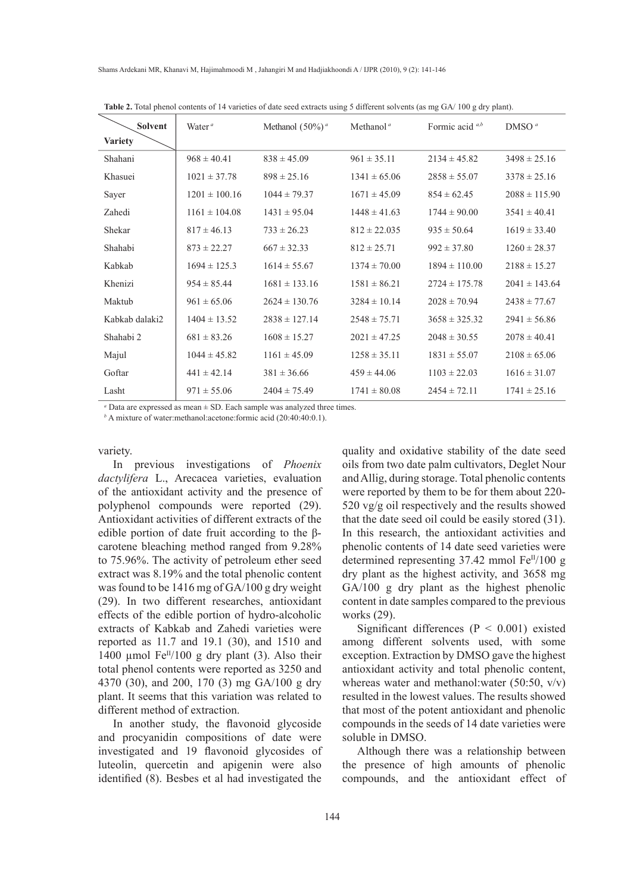| <b>Solvent</b> | Water $a$         | Methanol $(50\%)^a$ | Methanol <sup><math>a</math></sup> | Formic acid $a,b$ | DMSO <sup>a</sup> |
|----------------|-------------------|---------------------|------------------------------------|-------------------|-------------------|
| <b>Variety</b> |                   |                     |                                    |                   |                   |
| Shahani        | $968 \pm 40.41$   | $838 \pm 45.09$     | $961 \pm 35.11$                    | $2134 \pm 45.82$  | $3498 \pm 25.16$  |
| Khasuei        | $1021 \pm 37.78$  | $898 \pm 25.16$     | $1341 \pm 65.06$                   | $2858 \pm 55.07$  | $3378 \pm 25.16$  |
| Sayer          | $1201 \pm 100.16$ | $1044 \pm 79.37$    | $1671 \pm 45.09$                   | $854 \pm 62.45$   | $2088 \pm 115.90$ |
| Zahedi         | $1161 \pm 104.08$ | $1431 \pm 95.04$    | $1448 \pm 41.63$                   | $1744 \pm 90.00$  | $3541 \pm 40.41$  |
| Shekar         | $817 \pm 46.13$   | $733 \pm 26.23$     | $812 \pm 22.035$                   | $935 \pm 50.64$   | $1619 \pm 33.40$  |
| Shahabi        | $873 \pm 22.27$   | $667 \pm 32.33$     | $812 \pm 25.71$                    | $992 \pm 37.80$   | $1260 \pm 28.37$  |
| Kabkab         | $1694 \pm 125.3$  | $1614 \pm 55.67$    | $1374 \pm 70.00$                   | $1894 \pm 110.00$ | $2188 \pm 15.27$  |
| Khenizi        | $954 \pm 85.44$   | $1681 \pm 133.16$   | $1581 \pm 86.21$                   | $2724 \pm 175.78$ | $2041 \pm 143.64$ |
| Maktub         | $961 \pm 65.06$   | $2624 \pm 130.76$   | $3284 \pm 10.14$                   | $2028 \pm 70.94$  | $2438 \pm 77.67$  |
| Kabkab dalaki2 | $1404 \pm 13.52$  | $2838 \pm 127.14$   | $2548 \pm 75.71$                   | $3658 \pm 325.32$ | $2941 \pm 56.86$  |
| Shahabi 2      | $681 \pm 83.26$   | $1608 \pm 15.27$    | $2021 \pm 47.25$                   | $2048 \pm 30.55$  | $2078 \pm 40.41$  |
| Majul          | $1044 \pm 45.82$  | $1161 \pm 45.09$    | $1258 \pm 35.11$                   | $1831 \pm 55.07$  | $2108 \pm 65.06$  |
| Goftar         | $441 \pm 42.14$   | $381 \pm 36.66$     | $459 \pm 44.06$                    | $1103 \pm 22.03$  | $1616 \pm 31.07$  |
| Lasht          | $971 \pm 55.06$   | $2404 \pm 75.49$    | $1741 \pm 80.08$                   | $2454 \pm 72.11$  | $1741 \pm 25.16$  |

**Table 2.** Total phenol contents of 14 varieties of date seed extracts using 5 different solvents (as mg GA/ 100 g dry plant).

*a* Data are expressed as mean ± SD. Each sample was analyzed three times.

*b* A mixture of water:methanol:acetone:formic acid (20:40:40:0.1).

#### variety.

In previous investigations of *Phoenix dactylifera* L., Arecacea varieties, evaluation of the antioxidant activity and the presence of polyphenol compounds were reported (29). Antioxidant activities of different extracts of the edible portion of date fruit according to the βcarotene bleaching method ranged from 9.28% to 75.96%. The activity of petroleum ether seed extract was 8.19% and the total phenolic content was found to be 1416 mg of GA/100 g dry weight (29). In two different researches, antioxidant effects of the edible portion of hydro-alcoholic extracts of Kabkab and Zahedi varieties were reported as 11.7 and 19.1 (30), and 1510 and 1400 µmol  $Fe^{II}/100$  g dry plant (3). Also their total phenol contents were reported as 3250 and 4370 (30), and 200, 170 (3) mg GA/100 g dry plant. It seems that this variation was related to different method of extraction.

In another study, the flavonoid glycoside and procyanidin compositions of date were investigated and 19 flavonoid glycosides of luteolin, quercetin and apigenin were also identified (8). Besbes et al had investigated the

quality and oxidative stability of the date seed oils from two date palm cultivators, Deglet Nour and Allig, during storage. Total phenolic contents were reported by them to be for them about 220- 520 vg/g oil respectively and the results showed that the date seed oil could be easily stored (31). In this research, the antioxidant activities and phenolic contents of 14 date seed varieties were determined representing  $37.42$  mmol Fe<sup>II</sup>/100 g dry plant as the highest activity, and 3658 mg GA/100 g dry plant as the highest phenolic content in date samples compared to the previous works (29).

Significant differences ( $P < 0.001$ ) existed among different solvents used, with some exception. Extraction by DMSO gave the highest antioxidant activity and total phenolic content, whereas water and methanol:water (50:50, v/v) resulted in the lowest values. The results showed that most of the potent antioxidant and phenolic compounds in the seeds of 14 date varieties were soluble in DMSO.

Although there was a relationship between the presence of high amounts of phenolic compounds, and the antioxidant effect of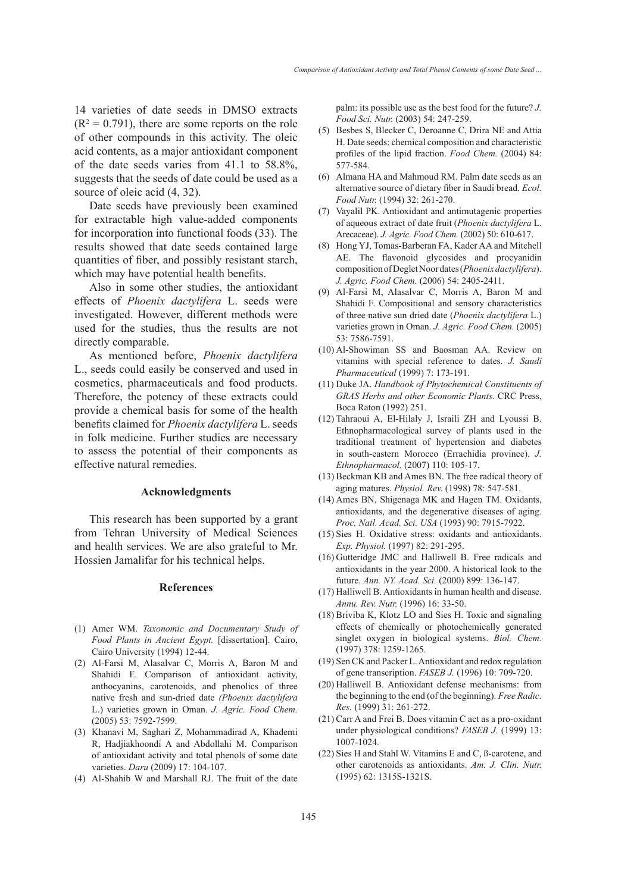14 varieties of date seeds in DMSO extracts  $(R<sup>2</sup> = 0.791)$ , there are some reports on the role of other compounds in this activity. The oleic acid contents, as a major antioxidant component of the date seeds varies from 41.1 to 58.8%, suggests that the seeds of date could be used as a source of oleic acid  $(4, 32)$ .

Date seeds have previously been examined for extractable high value-added components for incorporation into functional foods (33). The results showed that date seeds contained large quantities of fiber, and possibly resistant starch, which may have potential health benefits.

Also in some other studies, the antioxidant effects of *Phoenix dactylifera* L. seeds were investigated. However, different methods were used for the studies, thus the results are not directly comparable.

As mentioned before, *Phoenix dactylifera*  L., seeds could easily be conserved and used in cosmetics, pharmaceuticals and food products. Therefore, the potency of these extracts could provide a chemical basis for some of the health benefits claimed for *Phoenix dactylifera* L. seeds in folk medicine. Further studies are necessary to assess the potential of their components as effective natural remedies.

#### **Acknowledgments**

This research has been supported by a grant from Tehran University of Medical Sciences and health services. We are also grateful to Mr. Hossien Jamalifar for his technical helps.

#### **References**

- Amer WM. *Taxonomic and Documentary Study of*  (1) *Food Plants in Ancient Egypt.* [dissertation]. Cairo, Cairo University (1994) 12-44.
- Al-Farsi M, Alasalvar C, Morris A, Baron M and (2) Shahidi F. Comparison of antioxidant activity, anthocyanins, carotenoids, and phenolics of three native fresh and sun-dried date *(Phoenix dactylifera* L.) varieties grown in Oman. *J. Agric. Food Chem.* (2005) 53: 7592-7599.
- (3) Khanavi M, Saghari Z, Mohammadirad A, Khademi R, Hadjiakhoondi A and Abdollahi M. Comparison of antioxidant activity and total phenols of some date varieties. *Daru* (2009) 17: 104-107.
- Al-Shahib W and Marshall RJ. The fruit of the date (4)

palm: its possible use as the best food for the future? *J. Food Sci. Nutr.* (2003) 54: 247-259.

- (5) Besbes S, Blecker C, Deroanne C, Drira NE and Attia H. Date seeds: chemical composition and characteristic profiles of the lipid fraction. *Food Chem.* (2004) 84: 577-584.
- Almana HA and Mahmoud RM. Palm date seeds as an (6) alternative source of dietary fiber in Saudi bread. *Ecol. Food Nutr.* (1994) 32: 261-270.
- (7) Vayalil PK. Antioxidant and antimutagenic properties of aqueous extract of date fruit (*Phoenix dactylifera* L. Arecaceae). *J. Agric. Food Chem.* (2002) 50: 610-617.
- Hong YJ, Tomas-Barberan FA, Kader AA and Mitchell (8) AE. The flavonoid glycosides and procyanidin composition of Deglet Noor dates (*Phoenix dactylifera*). *J. Agric. Food Chem.* (2006) 54: 2405-2411.
- Al-Farsi M, Alasalvar C, Morris A, Baron M and (9) Shahidi F. Compositional and sensory characteristics of three native sun dried date (*Phoenix dactylifera* L.) varieties grown in Oman. *J. Agric. Food Chem.* (2005) 53: 7586-7591.
- Al-Showiman SS and Baosman AA. Review on (10) vitamins with special reference to dates. *J. Saudi Pharmaceutical* (1999) 7: 173-191.
- (11) Duke JA. *Handbook of Phytochemical Constituents of GRAS Herbs and other Economic Plants.* CRC Press, Boca Raton (1992) 251.
- $(12)$  Tahraoui A, El-Hilaly J, Israili ZH and Lyoussi B. Ethnopharmacological survey of plants used in the traditional treatment of hypertension and diabetes in south-eastern Morocco (Errachidia province). *J. Ethnopharmacol.* (2007) 110: 105-17.
- $(13)$  Beckman KB and Ames BN. The free radical theory of aging matures. *Physiol. Rev.* (1998) 78: 547-581.
- (14) Ames BN, Shigenaga MK and Hagen TM. Oxidants, antioxidants, and the degenerative diseases of aging. *Proc. Natl. Acad. Sci. USA* (1993) 90: 7915-7922.
- (15) Sies H. Oxidative stress: oxidants and antioxidants. *Exp. Physiol.* (1997) 82: 291-295.
- (16) Gutteridge JMC and Halliwell B. Free radicals and antioxidants in the year 2000. A historical look to the future. *Ann. NY. Acad. Sci.* (2000) 899: 136-147.
- (17) Halliwell B. Antioxidants in human health and disease. *Annu. Rev. Nutr.* (1996) 16: 33-50.
- $(18)$  Briviba K, Klotz LO and Sies H. Toxic and signaling effects of chemically or photochemically generated singlet oxygen in biological systems. *Biol. Chem.* (1997) 378: 1259-1265.
- (19) Sen CK and Packer L. Antioxidant and redox regulation of gene transcription. *FASEB J.* (1996) 10: 709-720.
- (20) Halliwell B. Antioxidant defense mechanisms: from the beginning to the end (of the beginning). *Free Radic. Res.* (1999) 31: 261-272.
- $(21)$  Carr A and Frei B. Does vitamin C act as a pro-oxidant under physiological conditions? *FASEB J.* (1999) 13: 1007-1024.
- $(22)$  Sies H and Stahl W. Vitamins E and C, B-carotene, and other carotenoids as antioxidants. *Am. J. Clin. Nutr.* (1995) 62: 1315S-1321S.